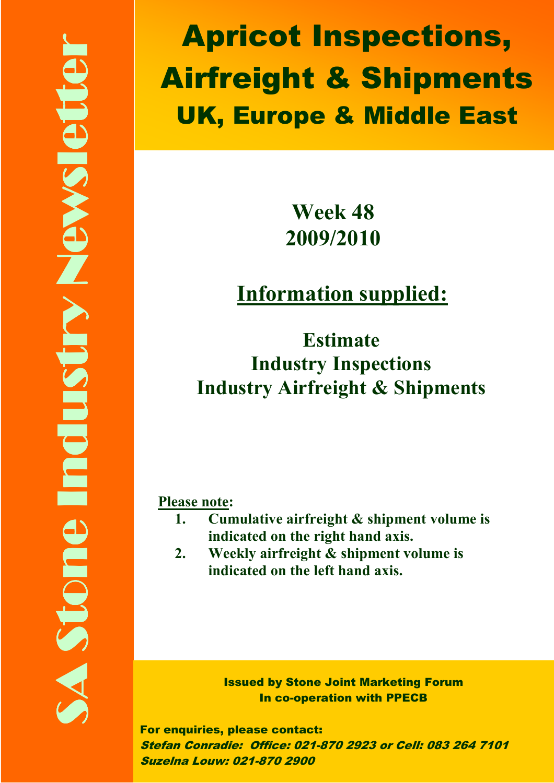Apricot Inspections, Airfreight & Shipments UK, Europe & Middle East

# Week 48 2009/2010

# Information supplied:

Estimate Industry Inspections Industry Airfreight & Shipments

#### Please note:

- 1. Cumulative airfreight & shipment volume is indicated on the right hand axis.
- 2. Weekly airfreight & shipment volume is indicated on the left hand axis.

Issued by Stone Joint Marketing Forum In co-operation with PPECB

For enquiries, please contact: Stefan Conradie: Office: 021-870 2923 or Cell: 083 264 7101 Suzelna Louw: 021-870 2900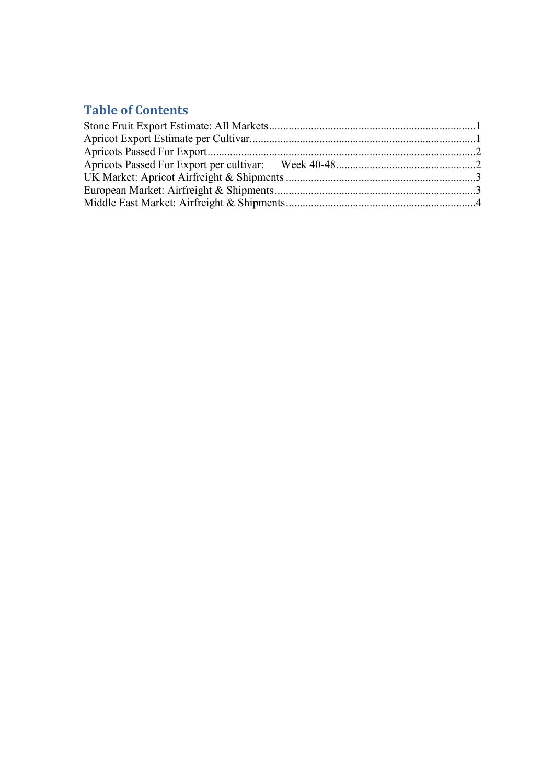#### Table of Contents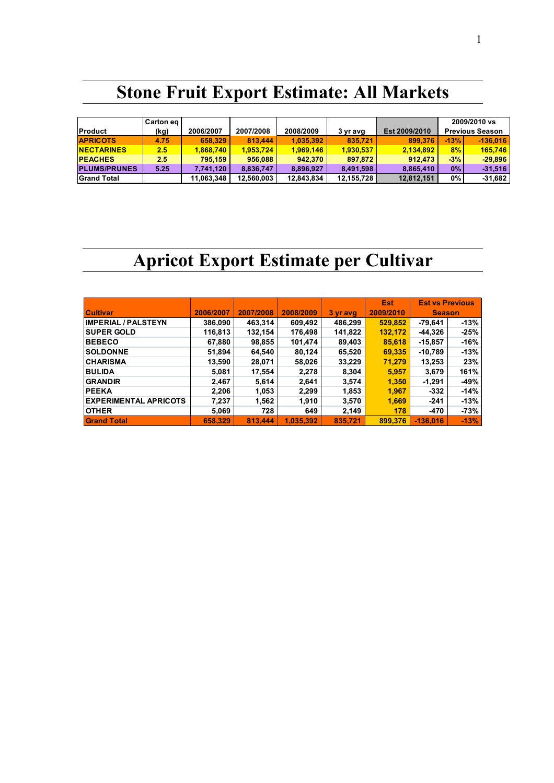## Stone Fruit Export Estimate: All Markets

| <b>Product</b>      | Carton eg<br>(kg) | 2006/2007  | 2007/2008  | 2008/2009  | 3 yr avg   | Est 2009/2010 | 2009/2010 vs<br><b>Previous Season</b> |            |
|---------------------|-------------------|------------|------------|------------|------------|---------------|----------------------------------------|------------|
| <b>APRICOTS</b>     | 4.75              | 658,329    | 813,444    | 1.035.392  | 835.721    | 899.376       | $-13%$                                 | $-136.016$ |
| <b>NECTARINES</b>   | 2.5               | 1,868,740  | 1.953.724  | 1,969,146  | 1,930,537  | 2,134,892     | 8%                                     | 165,746    |
| <b>PEACHES</b>      | 2.5               | 795.159    | 956,088    | 942.370    | 897.872    | 912.473       | $-3%$                                  | $-29.896$  |
| <b>PLUMS/PRUNES</b> | 5.25              | 7,741,120  | 8,836,747  | 8,896,927  | 8,491,598  | 8,865,410     | $0\%$                                  | $-31,516$  |
| <b>Grand Total</b>  |                   | 11,063,348 | 12,560,003 | 12,843,834 | 12,155,728 | 12,812,151    | $0\%$                                  | $-31,682$  |

## Apricot Export Estimate per Cultivar

|                              |           |           |           |          | Est       | <b>Est vs Previous</b> |        |
|------------------------------|-----------|-----------|-----------|----------|-----------|------------------------|--------|
| <b>Cultivar</b>              | 2006/2007 | 2007/2008 | 2008/2009 | 3 yr avg | 2009/2010 | <b>Season</b>          |        |
| <b>IMPERIAL / PALSTEYN</b>   | 386,090   | 463,314   | 609,492   | 486,299  | 529,852   | -79.641                | $-13%$ |
| <b>SUPER GOLD</b>            | 116,813   | 132,154   | 176,498   | 141,822  | 132,172   | -44,326                | $-25%$ |
| <b>BEBECO</b>                | 67,880    | 98,855    | 101,474   | 89,403   | 85,618    | $-15,857$              | $-16%$ |
| <b>SOLDONNE</b>              | 51,894    | 64,540    | 80,124    | 65,520   | 69,335    | $-10,789$              | $-13%$ |
| <b>CHARISMA</b>              | 13,590    | 28,071    | 58,026    | 33,229   | 71,279    | 13,253                 | 23%    |
| <b>BULIDA</b>                | 5,081     | 17,554    | 2,278     | 8,304    | 5,957     | 3,679                  | 161%   |
| <b>GRANDIR</b>               | 2,467     | 5,614     | 2,641     | 3,574    | 1,350     | $-1,291$               | $-49%$ |
| <b>PEEKA</b>                 | 2,206     | 1,053     | 2,299     | 1,853    | 1,967     | $-332$                 | $-14%$ |
| <b>EXPERIMENTAL APRICOTS</b> | 7,237     | 1,562     | 1,910     | 3,570    | 1,669     | $-241$                 | $-13%$ |
| <b>OTHER</b>                 | 5,069     | 728       | 649       | 2,149    | 178       | -470                   | $-73%$ |
| <b>Grand Total</b>           | 658.329   | 813.444   | 1.035.392 | 835.721  | 899.376   | $-136.016$             | $-13%$ |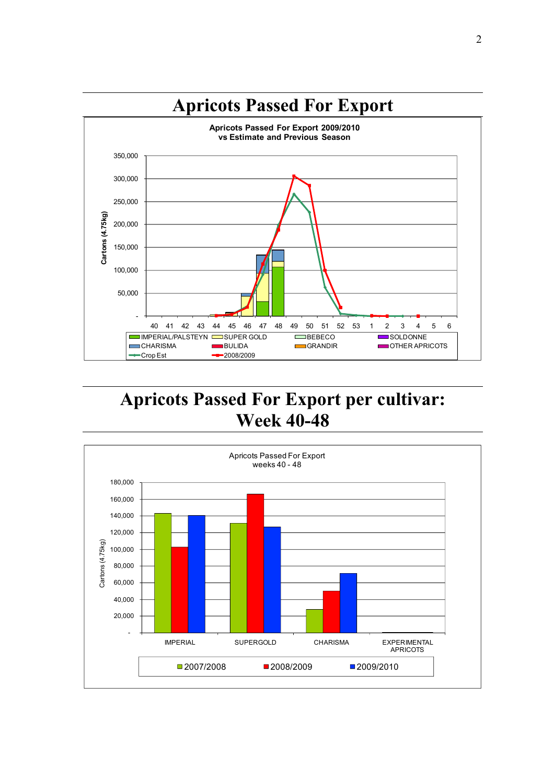

## Apricots Passed For Export per cultivar: Week 40-48

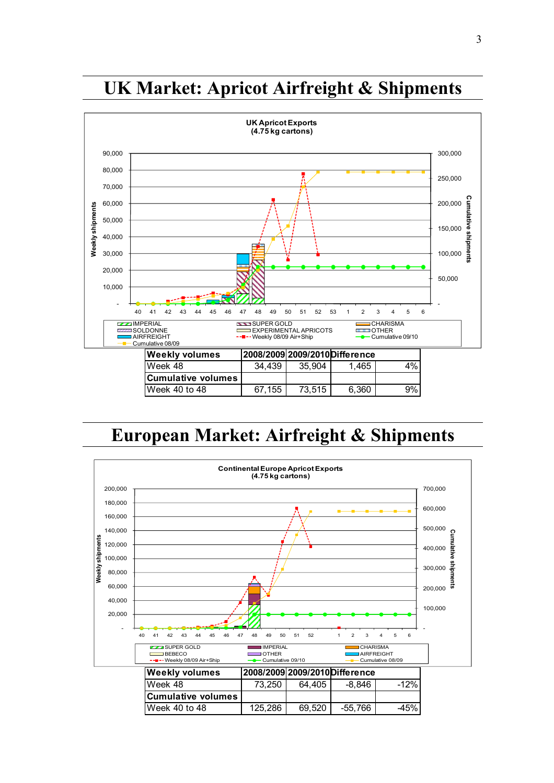

### UK Market: Apricot Airfreight & Shipments

## European Market: Airfreight & Shipments